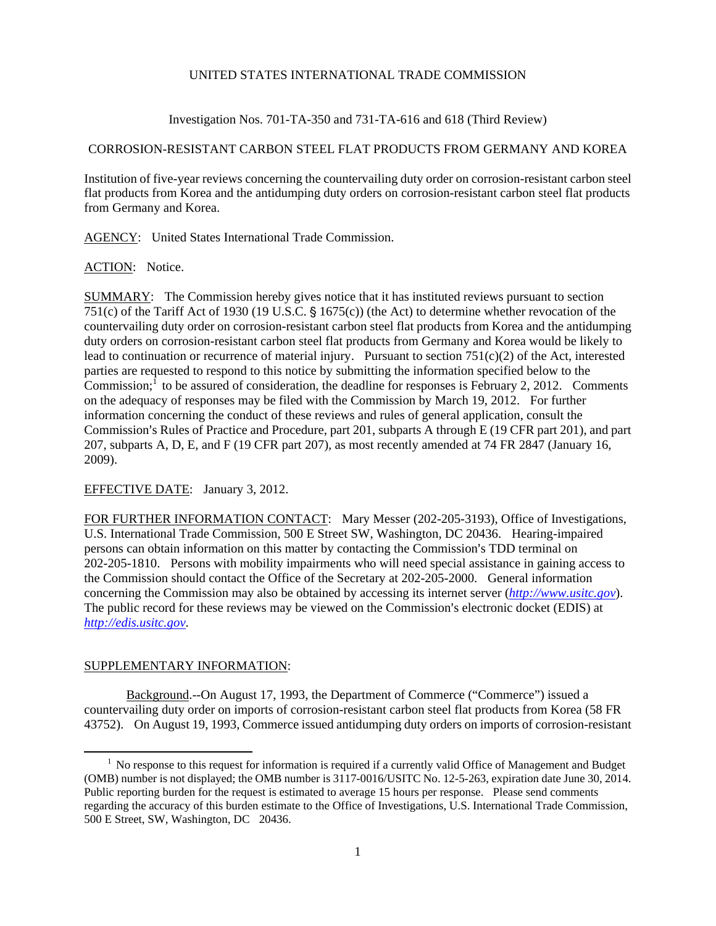#### UNITED STATES INTERNATIONAL TRADE COMMISSION

Investigation Nos. 701-TA-350 and 731-TA-616 and 618 (Third Review)

# CORROSION-RESISTANT CARBON STEEL FLAT PRODUCTS FROM GERMANY AND KOREA

Institution of five-year reviews concerning the countervailing duty order on corrosion-resistant carbon steel flat products from Korea and the antidumping duty orders on corrosion-resistant carbon steel flat products from Germany and Korea.

AGENCY: United States International Trade Commission.

#### ACTION: Notice.

SUMMARY: The Commission hereby gives notice that it has instituted reviews pursuant to section 751(c) of the Tariff Act of 1930 (19 U.S.C.  $\S$  1675(c)) (the Act) to determine whether revocation of the countervailing duty order on corrosion-resistant carbon steel flat products from Korea and the antidumping duty orders on corrosion-resistant carbon steel flat products from Germany and Korea would be likely to lead to continuation or recurrence of material injury. Pursuant to section  $751(c)(2)$  of the Act, interested parties are requested to respond to this notice by submitting the information specified below to the Commission;  $\hat{I}$  to be assured of consideration, the deadline for responses is February 2, 2012. Comments on the adequacy of responses may be filed with the Commission by March 19, 2012. For further information concerning the conduct of these reviews and rules of general application, consult the Commission's Rules of Practice and Procedure, part 201, subparts A through E (19 CFR part 201), and part 207, subparts A, D, E, and F (19 CFR part 207), as most recently amended at 74 FR 2847 (January 16, 2009).

### EFFECTIVE DATE: January 3, 2012.

FOR FURTHER INFORMATION CONTACT: Mary Messer (202-205-3193), Office of Investigations, U.S. International Trade Commission, 500 E Street SW, Washington, DC 20436. Hearing-impaired persons can obtain information on this matter by contacting the Commission's TDD terminal on 202-205-1810. Persons with mobility impairments who will need special assistance in gaining access to the Commission should contact the Office of the Secretary at 202-205-2000. General information concerning the Commission may also be obtained by accessing its internet server (*http://www.usitc.gov*). The public record for these reviews may be viewed on the Commission's electronic docket (EDIS) at *http://edis.usitc.gov*.

## SUPPLEMENTARY INFORMATION:

 $\overline{a}$ 

Background.--On August 17, 1993, the Department of Commerce ("Commerce") issued a countervailing duty order on imports of corrosion-resistant carbon steel flat products from Korea (58 FR 43752). On August 19, 1993, Commerce issued antidumping duty orders on imports of corrosion-resistant

<sup>&</sup>lt;sup>1</sup> No response to this request for information is required if a currently valid Office of Management and Budget (OMB) number is not displayed; the OMB number is 3117-0016/USITC No. 12-5-263, expiration date June 30, 2014. Public reporting burden for the request is estimated to average 15 hours per response. Please send comments regarding the accuracy of this burden estimate to the Office of Investigations, U.S. International Trade Commission, 500 E Street, SW, Washington, DC 20436.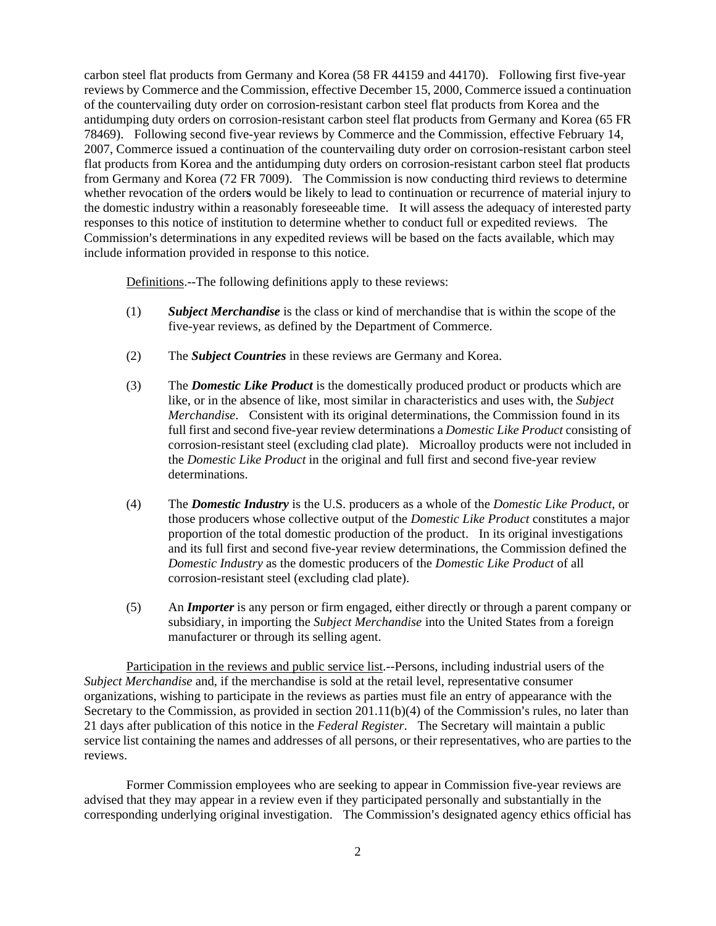carbon steel flat products from Germany and Korea (58 FR 44159 and 44170). Following first five-year reviews by Commerce and the Commission, effective December 15, 2000, Commerce issued a continuation of the countervailing duty order on corrosion-resistant carbon steel flat products from Korea and the antidumping duty orders on corrosion-resistant carbon steel flat products from Germany and Korea (65 FR 78469). Following second five-year reviews by Commerce and the Commission, effective February 14, 2007, Commerce issued a continuation of the countervailing duty order on corrosion-resistant carbon steel flat products from Korea and the antidumping duty orders on corrosion-resistant carbon steel flat products from Germany and Korea (72 FR 7009). The Commission is now conducting third reviews to determine whether revocation of the order**s** would be likely to lead to continuation or recurrence of material injury to the domestic industry within a reasonably foreseeable time. It will assess the adequacy of interested party responses to this notice of institution to determine whether to conduct full or expedited reviews. The Commission's determinations in any expedited reviews will be based on the facts available, which may include information provided in response to this notice.

Definitions.--The following definitions apply to these reviews:

- (1) *Subject Merchandise* is the class or kind of merchandise that is within the scope of the five-year reviews, as defined by the Department of Commerce.
- (2) The *Subject Countries* in these reviews are Germany and Korea.
- (3) The *Domestic Like Product* is the domestically produced product or products which are like, or in the absence of like, most similar in characteristics and uses with, the *Subject Merchandise*. Consistent with its original determinations, the Commission found in its full first and second five-year review determinations a *Domestic Like Product* consisting of corrosion-resistant steel (excluding clad plate). Microalloy products were not included in the *Domestic Like Product* in the original and full first and second five-year review determinations.
- (4) The *Domestic Industry* is the U.S. producers as a whole of the *Domestic Like Product*, or those producers whose collective output of the *Domestic Like Product* constitutes a major proportion of the total domestic production of the product. In its original investigations and its full first and second five-year review determinations, the Commission defined the *Domestic Industry* as the domestic producers of the *Domestic Like Product* of all corrosion-resistant steel (excluding clad plate).
- (5) An *Importer* is any person or firm engaged, either directly or through a parent company or subsidiary, in importing the *Subject Merchandise* into the United States from a foreign manufacturer or through its selling agent.

Participation in the reviews and public service list.--Persons, including industrial users of the *Subject Merchandise* and, if the merchandise is sold at the retail level, representative consumer organizations, wishing to participate in the reviews as parties must file an entry of appearance with the Secretary to the Commission, as provided in section  $201.11(b)(4)$  of the Commission's rules, no later than 21 days after publication of this notice in the *Federal Register*. The Secretary will maintain a public service list containing the names and addresses of all persons, or their representatives, who are parties to the reviews.

Former Commission employees who are seeking to appear in Commission five-year reviews are advised that they may appear in a review even if they participated personally and substantially in the corresponding underlying original investigation. The Commission's designated agency ethics official has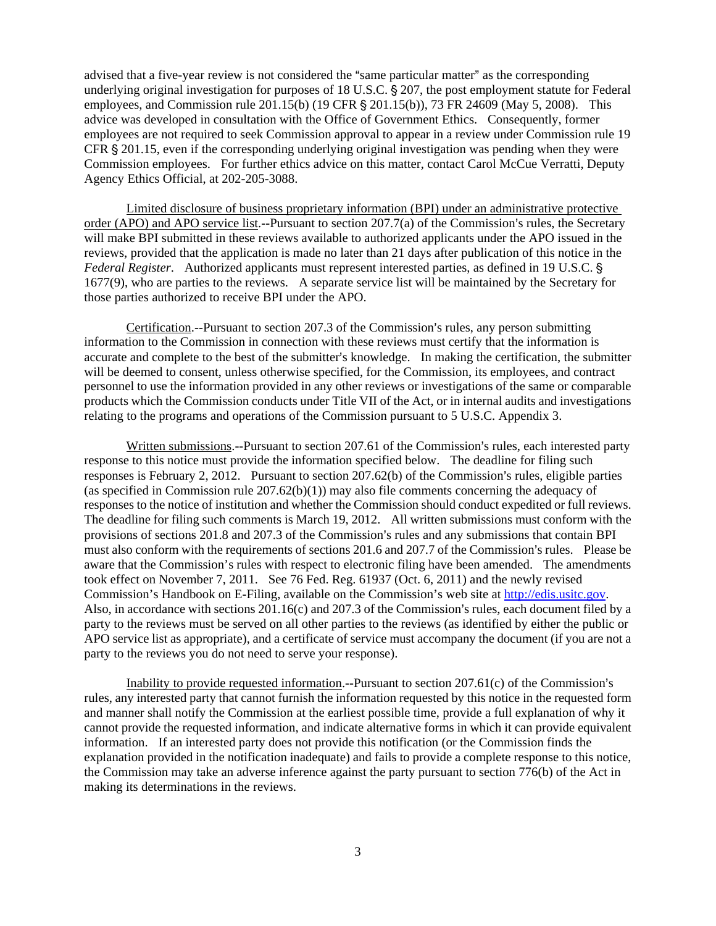advised that a five-year review is not considered the "same particular matter" as the corresponding underlying original investigation for purposes of 18 U.S.C. § 207, the post employment statute for Federal employees, and Commission rule  $201.15(b)$  (19 CFR § 201.15(b)), 73 FR 24609 (May 5, 2008). This advice was developed in consultation with the Office of Government Ethics. Consequently, former employees are not required to seek Commission approval to appear in a review under Commission rule 19 CFR  $\S 201.15$ , even if the corresponding underlying original investigation was pending when they were Commission employees. For further ethics advice on this matter, contact Carol McCue Verratti, Deputy Agency Ethics Official, at 202-205-3088.

Limited disclosure of business proprietary information (BPI) under an administrative protective order (APO) and APO service list.--Pursuant to section  $207.7(a)$  of the Commission's rules, the Secretary will make BPI submitted in these reviews available to authorized applicants under the APO issued in the reviews, provided that the application is made no later than 21 days after publication of this notice in the *Federal Register*. Authorized applicants must represent interested parties, as defined in 19 U.S.C. ' 1677(9), who are parties to the reviews. A separate service list will be maintained by the Secretary for those parties authorized to receive BPI under the APO.

Certification.--Pursuant to section 207.3 of the Commission's rules, any person submitting information to the Commission in connection with these reviews must certify that the information is accurate and complete to the best of the submitter's knowledge. In making the certification, the submitter will be deemed to consent, unless otherwise specified, for the Commission, its employees, and contract personnel to use the information provided in any other reviews or investigations of the same or comparable products which the Commission conducts under Title VII of the Act, or in internal audits and investigations relating to the programs and operations of the Commission pursuant to 5 U.S.C. Appendix 3.

Written submissions.--Pursuant to section 207.61 of the Commission's rules, each interested party response to this notice must provide the information specified below. The deadline for filing such responses is February 2, 2012. Pursuant to section  $207.62(b)$  of the Commission's rules, eligible parties (as specified in Commission rule 207.62(b)(1)) may also file comments concerning the adequacy of responses to the notice of institution and whether the Commission should conduct expedited or full reviews. The deadline for filing such comments is March 19, 2012. All written submissions must conform with the provisions of sections 201.8 and 207.3 of the Commission's rules and any submissions that contain BPI must also conform with the requirements of sections 201.6 and 207.7 of the Commission's rules. Please be aware that the Commission's rules with respect to electronic filing have been amended. The amendments took effect on November 7, 2011. See 76 Fed. Reg. 61937 (Oct. 6, 2011) and the newly revised Commission's Handbook on E-Filing, available on the Commission's web site at http://edis.usitc.gov. Also, in accordance with sections  $201.16(c)$  and  $207.3$  of the Commission's rules, each document filed by a party to the reviews must be served on all other parties to the reviews (as identified by either the public or APO service list as appropriate), and a certificate of service must accompany the document (if you are not a party to the reviews you do not need to serve your response).

Inability to provide requested information.--Pursuant to section  $207.61(c)$  of the Commission's rules, any interested party that cannot furnish the information requested by this notice in the requested form and manner shall notify the Commission at the earliest possible time, provide a full explanation of why it cannot provide the requested information, and indicate alternative forms in which it can provide equivalent information. If an interested party does not provide this notification (or the Commission finds the explanation provided in the notification inadequate) and fails to provide a complete response to this notice, the Commission may take an adverse inference against the party pursuant to section 776(b) of the Act in making its determinations in the reviews.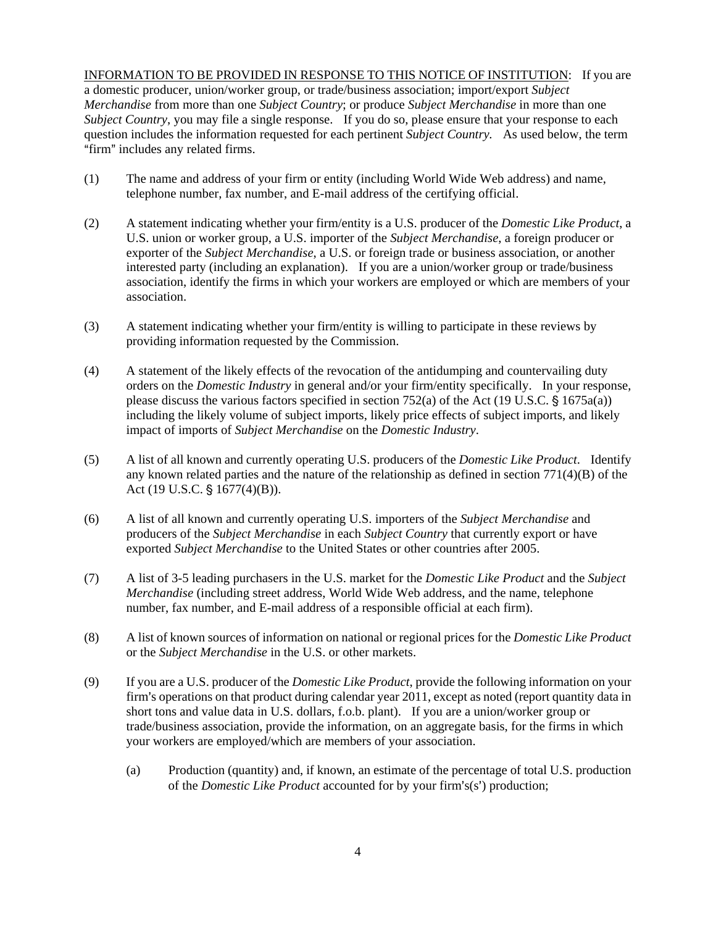INFORMATION TO BE PROVIDED IN RESPONSE TO THIS NOTICE OF INSTITUTION: If you are a domestic producer, union/worker group, or trade/business association; import/export *Subject Merchandise* from more than one *Subject Country*; or produce *Subject Merchandise* in more than one *Subject Country*, you may file a single response. If you do so, please ensure that your response to each question includes the information requested for each pertinent *Subject Country.* As used below, the term "firm" includes any related firms.

- (1) The name and address of your firm or entity (including World Wide Web address) and name, telephone number, fax number, and E-mail address of the certifying official.
- (2) A statement indicating whether your firm/entity is a U.S. producer of the *Domestic Like Product*, a U.S. union or worker group, a U.S. importer of the *Subject Merchandise*, a foreign producer or exporter of the *Subject Merchandise*, a U.S. or foreign trade or business association, or another interested party (including an explanation). If you are a union/worker group or trade/business association, identify the firms in which your workers are employed or which are members of your association.
- (3) A statement indicating whether your firm/entity is willing to participate in these reviews by providing information requested by the Commission.
- (4) A statement of the likely effects of the revocation of the antidumping and countervailing duty orders on the *Domestic Industry* in general and/or your firm/entity specifically. In your response, please discuss the various factors specified in section 752(a) of the Act (19 U.S.C.  $\S$  1675a(a)) including the likely volume of subject imports, likely price effects of subject imports, and likely impact of imports of *Subject Merchandise* on the *Domestic Industry*.
- (5) A list of all known and currently operating U.S. producers of the *Domestic Like Product*. Identify any known related parties and the nature of the relationship as defined in section  $771(4)(B)$  of the Act (19 U.S.C.  $\S$  1677(4)(B)).
- (6) A list of all known and currently operating U.S. importers of the *Subject Merchandise* and producers of the *Subject Merchandise* in each *Subject Country* that currently export or have exported *Subject Merchandise* to the United States or other countries after 2005.
- (7) A list of 3-5 leading purchasers in the U.S. market for the *Domestic Like Product* and the *Subject Merchandise* (including street address, World Wide Web address, and the name, telephone number, fax number, and E-mail address of a responsible official at each firm).
- (8) A list of known sources of information on national or regional prices for the *Domestic Like Product* or the *Subject Merchandise* in the U.S. or other markets.
- (9) If you are a U.S. producer of the *Domestic Like Product*, provide the following information on your firm's operations on that product during calendar year  $2011$ , except as noted (report quantity data in short tons and value data in U.S. dollars, f.o.b. plant). If you are a union/worker group or trade/business association, provide the information, on an aggregate basis, for the firms in which your workers are employed/which are members of your association.
	- (a) Production (quantity) and, if known, an estimate of the percentage of total U.S. production of the *Domestic Like Product* accounted for by your firm's(s') production;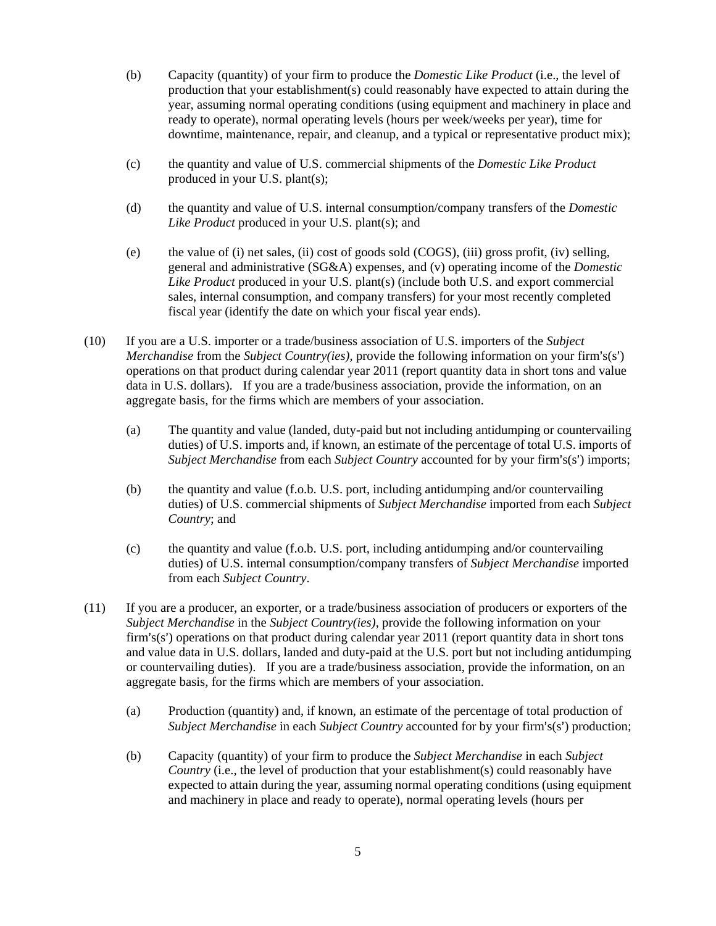- (b) Capacity (quantity) of your firm to produce the *Domestic Like Product* (i.e., the level of production that your establishment(s) could reasonably have expected to attain during the year, assuming normal operating conditions (using equipment and machinery in place and ready to operate), normal operating levels (hours per week/weeks per year), time for downtime, maintenance, repair, and cleanup, and a typical or representative product mix);
- (c) the quantity and value of U.S. commercial shipments of the *Domestic Like Product* produced in your U.S. plant(s);
- (d) the quantity and value of U.S. internal consumption/company transfers of the *Domestic Like Product* produced in your U.S. plant(s); and
- (e) the value of (i) net sales, (ii) cost of goods sold (COGS), (iii) gross profit, (iv) selling, general and administrative (SG&A) expenses, and (v) operating income of the *Domestic Like Product* produced in your U.S. plant(s) (include both U.S. and export commercial sales, internal consumption, and company transfers) for your most recently completed fiscal year (identify the date on which your fiscal year ends).
- (10) If you are a U.S. importer or a trade/business association of U.S. importers of the *Subject Merchandise* from the *Subject Country(ies)*, provide the following information on your firm's(s') operations on that product during calendar year 2011 (report quantity data in short tons and value data in U.S. dollars). If you are a trade/business association, provide the information, on an aggregate basis, for the firms which are members of your association.
	- (a) The quantity and value (landed, duty-paid but not including antidumping or countervailing duties) of U.S. imports and, if known, an estimate of the percentage of total U.S. imports of *Subject Merchandise* from each *Subject Country* accounted for by your firm's(s') imports;
	- (b) the quantity and value (f.o.b. U.S. port, including antidumping and/or countervailing duties) of U.S. commercial shipments of *Subject Merchandise* imported from each *Subject Country*; and
	- (c) the quantity and value (f.o.b. U.S. port, including antidumping and/or countervailing duties) of U.S. internal consumption/company transfers of *Subject Merchandise* imported from each *Subject Country*.
- (11) If you are a producer, an exporter, or a trade/business association of producers or exporters of the *Subject Merchandise* in the *Subject Country(ies)*, provide the following information on your firm's(s') operations on that product during calendar year  $2011$  (report quantity data in short tons and value data in U.S. dollars, landed and duty-paid at the U.S. port but not including antidumping or countervailing duties). If you are a trade/business association, provide the information, on an aggregate basis, for the firms which are members of your association.
	- (a) Production (quantity) and, if known, an estimate of the percentage of total production of *Subject Merchandise* in each *Subject Country* accounted for by your firm's(s') production;
	- (b) Capacity (quantity) of your firm to produce the *Subject Merchandise* in each *Subject Country* (i.e., the level of production that your establishment(s) could reasonably have expected to attain during the year, assuming normal operating conditions (using equipment and machinery in place and ready to operate), normal operating levels (hours per